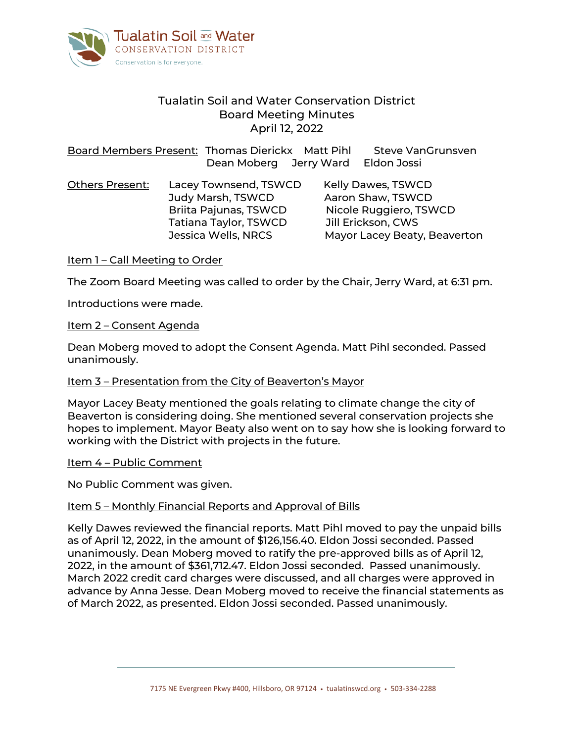

# Tualatin Soil and Water Conservation District Board Meeting Minutes April 12, 2022

Board Members Present: Thomas Dierickx Matt Pihl Steve VanGrunsven Dean Moberg Jerry Ward Eldon Jossi

| <b>Others Present:</b> | Lacey Townsend, TSWCD | <b>Kelly Dawes, TSWCD</b>    |
|------------------------|-----------------------|------------------------------|
|                        | Judy Marsh, TSWCD     | Aaron Shaw, TSWCD            |
|                        | Briita Pajunas, TSWCD | Nicole Ruggiero, TSWCD       |
|                        | Tatiana Taylor, TSWCD | Jill Erickson, CWS           |
|                        | Jessica Wells, NRCS   | Mayor Lacey Beaty, Beaverton |

Item 1 – Call Meeting to Order

The Zoom Board Meeting was called to order by the Chair, Jerry Ward, at 6:31 pm.

Introductions were made.

#### Item 2 – Consent Agenda

Dean Moberg moved to adopt the Consent Agenda. Matt Pihl seconded. Passed unanimously.

#### Item 3 - Presentation from the City of Beaverton's Mayor

Mayor Lacey Beaty mentioned the goals relating to climate change the city of Beaverton is considering doing. She mentioned several conservation projects she hopes to implement. Mayor Beaty also went on to say how she is looking forward to working with the District with projects in the future.

#### Item 4 – Public Comment

No Public Comment was given.

#### Item 5 – Monthly Financial Reports and Approval of Bills

Kelly Dawes reviewed the financial reports. Matt Pihl moved to pay the unpaid bills as of April 12, 2022, in the amount of \$126,156.40. Eldon Jossi seconded. Passed unanimously. Dean Moberg moved to ratify the pre-approved bills as of April 12, 2022, in the amount of \$361,712.47. Eldon Jossi seconded. Passed unanimously. March 2022 credit card charges were discussed, and all charges were approved in advance by Anna Jesse. Dean Moberg moved to receive the financial statements as of March 2022, as presented. Eldon Jossi seconded. Passed unanimously.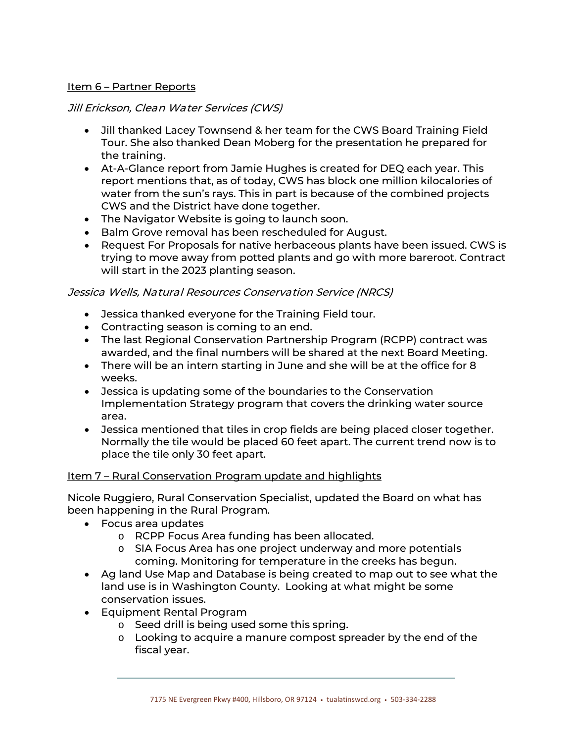### Item 6 – Partner Reports

# Jill Erickson, Clean Water Services (CWS)

- Jill thanked Lacey Townsend & her team for the CWS Board Training Field Tour. She also thanked Dean Moberg for the presentation he prepared for the training.
- At-A-Glance report from Jamie Hughes is created for DEQ each year. This report mentions that, as of today, CWS has block one million kilocalories of water from the sun's rays. This in part is because of the combined projects CWS and the District have done together.
- The Navigator Website is going to launch soon.
- Balm Grove removal has been rescheduled for August.
- Request For Proposals for native herbaceous plants have been issued. CWS is trying to move away from potted plants and go with more bareroot. Contract will start in the 2023 planting season.

# Jessica Wells, Natural Resources Conservation Service (NRCS)

- Jessica thanked everyone for the Training Field tour.
- Contracting season is coming to an end.
- The last Regional Conservation Partnership Program (RCPP) contract was awarded, and the final numbers will be shared at the next Board Meeting.
- There will be an intern starting in June and she will be at the office for 8 weeks.
- Jessica is updating some of the boundaries to the Conservation Implementation Strategy program that covers the drinking water source area.
- Jessica mentioned that tiles in crop fields are being placed closer together. Normally the tile would be placed 60 feet apart. The current trend now is to place the tile only 30 feet apart.

### Item 7 – Rural Conservation Program update and highlights

Nicole Ruggiero, Rural Conservation Specialist, updated the Board on what has been happening in the Rural Program.

- Focus area updates
	- o RCPP Focus Area funding has been allocated.
	- o SIA Focus Area has one project underway and more potentials coming. Monitoring for temperature in the creeks has begun.
- Ag land Use Map and Database is being created to map out to see what the land use is in Washington County. Looking at what might be some conservation issues.
- Equipment Rental Program
	- o Seed drill is being used some this spring.
	- $\circ$  Looking to acquire a manure compost spreader by the end of the fiscal year.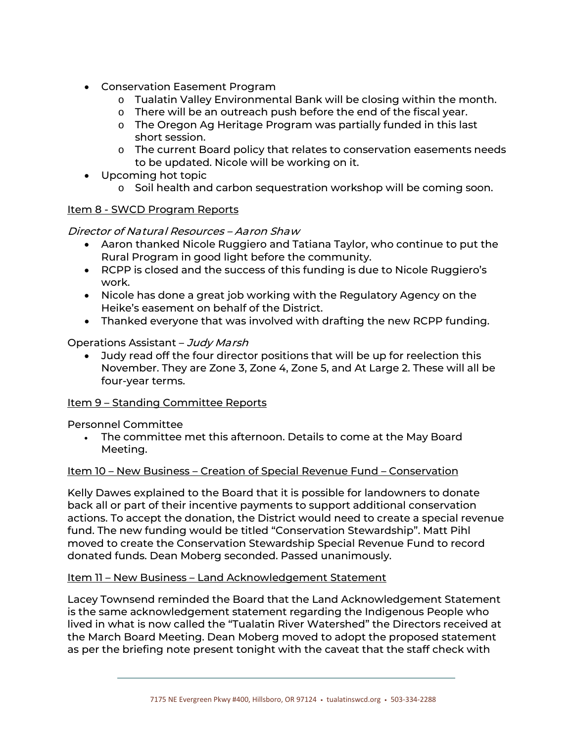- Conservation Easement Program
	- o Tualatin Valley Environmental Bank will be closing within the month.
	- o There will be an outreach push before the end of the fiscal year.
	- o The Oregon Ag Heritage Program was partially funded in this last short session.
	- o The current Board policy that relates to conservation easements needs to be updated. Nicole will be working on it.
- Upcoming hot topic
	- o Soil health and carbon sequestration workshop will be coming soon.

# Item 8 - SWCD Program Reports

Director of Natural Resources – Aaron Shaw

- Aaron thanked Nicole Ruggiero and Tatiana Taylor, who continue to put the Rural Program in good light before the community.
- RCPP is closed and the success of this funding is due to Nicole Ruggiero's work.
- Nicole has done a great job working with the Regulatory Agency on the Heike's easement on behalf of the District.
- Thanked everyone that was involved with drafting the new RCPP funding.

# Operations Assistant – Judy Marsh

• Judy read off the four director positions that will be up for reelection this November. They are Zone 3, Zone 4, Zone 5, and At Large 2. These will all be four-year terms.

# Item 9 – Standing Committee Reports

Personnel Committee

• The committee met this afternoon. Details to come at the May Board Meeting.

### Item 10 – New Business – Creation of Special Revenue Fund – Conservation

Kelly Dawes explained to the Board that it is possible for landowners to donate back all or part of their incentive payments to support additional conservation actions. To accept the donation, the District would need to create a special revenue fund. The new funding would be titled "Conservation Stewardship". Matt Pihl moved to create the Conservation Stewardship Special Revenue Fund to record donated funds. Dean Moberg seconded. Passed unanimously.

### Item 11 - New Business - Land Acknowledgement Statement

Lacey Townsend reminded the Board that the Land Acknowledgement Statement is the same acknowledgement statement regarding the Indigenous People who lived in what is now called the "Tualatin River Watershed" the Directors received at the March Board Meeting. Dean Moberg moved to adopt the proposed statement as per the briefing note present tonight with the caveat that the staff check with